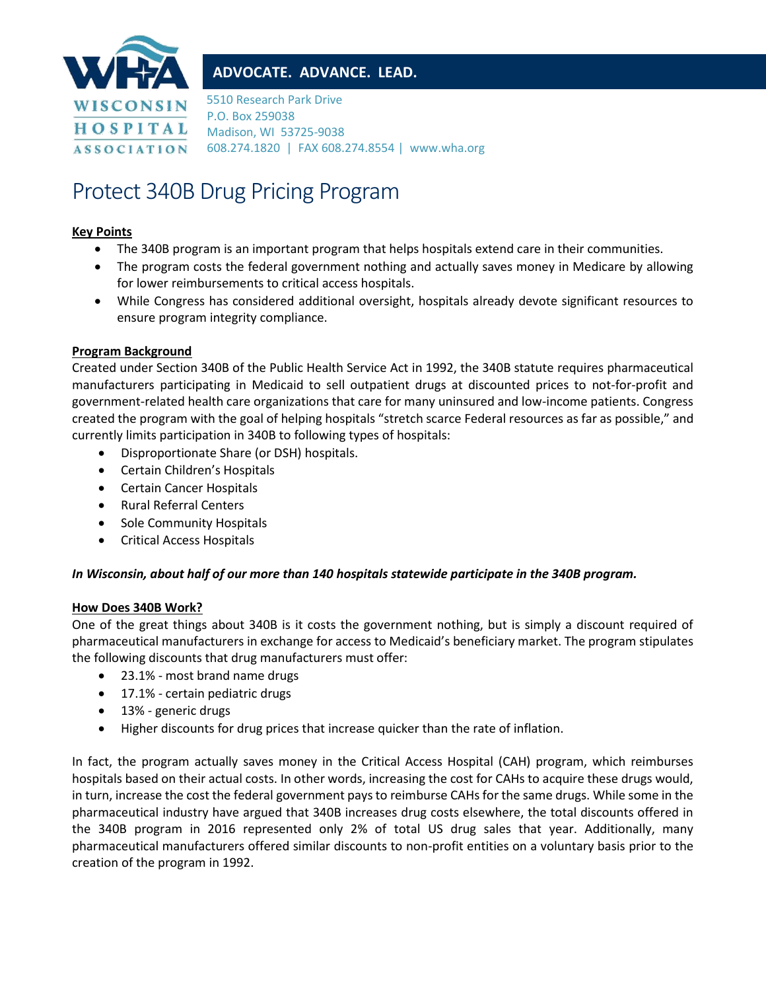

# **ADVOCATE. ADVANCE. LEAD.**

5510 Research Park Drive P.O. Box 259038 Madison, WI 53725-9038 608.274.1820 | FAX 608.274.8554 | www.wha.org

# Protect 340B Drug Pricing Program

# **Key Points**

- The 340B program is an important program that helps hospitals extend care in their communities.
- The program costs the federal government nothing and actually saves money in Medicare by allowing for lower reimbursements to critical access hospitals.
- While Congress has considered additional oversight, hospitals already devote significant resources to ensure program integrity compliance.

# **Program Background**

Created under Section 340B of the Public Health Service Act in 1992, the 340B statute requires pharmaceutical manufacturers participating in Medicaid to sell outpatient drugs at discounted prices to not-for-profit and government-related health care organizations that care for many uninsured and low-income patients. Congress created the program with the goal of helping hospitals "stretch scarce Federal resources as far as possible," and currently limits participation in 340B to following types of hospitals:

- Disproportionate Share (or DSH) hospitals.
- Certain Children's Hospitals
- Certain Cancer Hospitals
- Rural Referral Centers
- Sole Community Hospitals
- Critical Access Hospitals

# *In Wisconsin, about half of our more than 140 hospitals statewide participate in the 340B program.*

#### **How Does 340B Work?**

One of the great things about 340B is it costs the government nothing, but is simply a discount required of pharmaceutical manufacturers in exchange for access to Medicaid's beneficiary market. The program stipulates the following discounts that drug manufacturers must offer:

- 23.1% most brand name drugs
- 17.1% certain pediatric drugs
- 13% generic drugs
- Higher discounts for drug prices that increase quicker than the rate of inflation.

In fact, the program actually saves money in the Critical Access Hospital (CAH) program, which reimburses hospitals based on their actual costs. In other words, increasing the cost for CAHs to acquire these drugs would, in turn, increase the cost the federal government pays to reimburse CAHs for the same drugs. While some in the pharmaceutical industry have argued that 340B increases drug costs elsewhere, the total discounts offered in the 340B program in 2016 represented only 2% of total US drug sales that year. Additionally, many pharmaceutical manufacturers offered similar discounts to non-profit entities on a voluntary basis prior to the creation of the program in 1992.